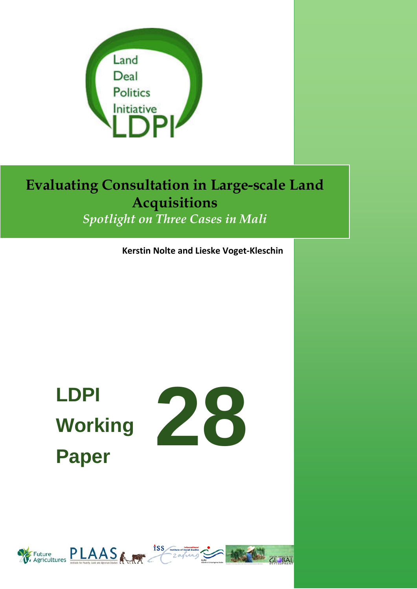

*Spotlight on Three Cases in Mali*

**Kerstin Nolte and Lieske Voget-Kleschin**

# **Working Paper**



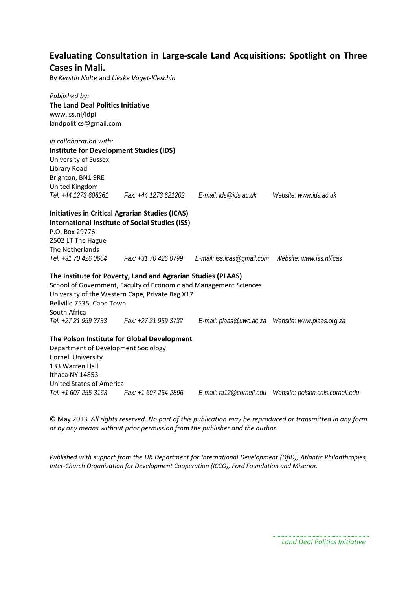### **Evaluating Consultation in Large-scale Land Acquisitions: Spotlight on Three Cases in Mali.**

By *Kerstin Nolte* and *Lieske Voget-Kleschin*

#### *Published by:* **The Land Deal Politics Initiative** www.iss.nl/ldpi landpolitics@gmail.com

*in collaboration with:* 

**Institute for Development Studies (IDS)** University of Sussex Library Road Brighton, BN1 9RE United Kingdom *Tel: +44 1273 606261 Fax: +44 1273 621202 E-mail: ids@ids.ac.uk Website: www.ids.ac.uk*

**Initiatives in Critical Agrarian Studies (ICAS) International Institute of Social Studies (ISS)**

P.O. Box 29776 2502 LT The Hague The Netherlands

*Tel: +31 70 426 0664 Fax: +31 70 426 0799 E-mail: iss.icas@gmail.com Website: www.iss.nl/icas*

#### **The Institute for Poverty, Land and Agrarian Studies (PLAAS)**

School of Government, Faculty of Economic and Management Sciences University of the Western Cape, Private Bag X17 Bellville 7535, Cape Town South Africa *Tel: +27 21 959 3733 Fax: +27 21 959 3732 E-mail: plaas@uwc.ac.za Website: www.plaas.org.za*

#### **The Polson Institute for Global Development**

Department of Development Sociology Cornell University 133 Warren Hall Ithaca NY 14853 United States of America

*Tel: +1 607 255-3163 Fax: +1 607 254-2896 E-mail: ta12@cornell.edu Website: polson.cals.cornell.edu*

© May 2013 *All rights reserved. No part of this publication may be reproduced or transmitted in any form or by any means without prior permission from the publisher and the author.*

*Published with support from the UK Department for International Development (DfID), Atlantic Philanthropies, Inter-Church Organization for Development Cooperation (ICCO), Ford Foundation and Miserior.*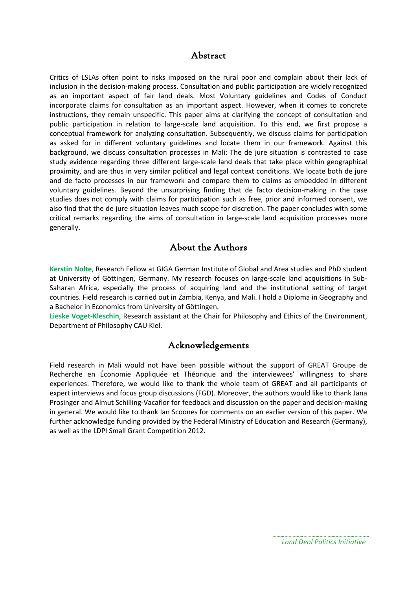#### Abstract

Critics of LSLAs often point to risks imposed on the rural poor and complain about their lack of inclusion in the decision-making process. Consultation and public participation are widely recognized as an important aspect of fair land deals. Most Voluntary guidelines and Codes of Conduct incorporate claims for consultation as an important aspect. However, when it comes to concrete instructions, they remain unspecific. This paper aims at clarifying the concept of consultation and public participation in relation to large-scale land acquisition. To this end, we first propose a conceptual framework for analyzing consultation. Subsequently, we discuss claims for participation as asked for in different voluntary guidelines and locate them in our framework. Against this background, we discuss consultation processes in Mali: The de jure situation is contrasted to case study evidence regarding three different large-scale land deals that take place within geographical proximity, and are thus in very similar political and legal context conditions. We locate both de jure and de facto processes in our framework and compare them to claims as embedded in different voluntary guidelines. Beyond the unsurprising finding that de facto decision-making in the case studies does not comply with claims for participation such as free, prior and informed consent, we also find that the de jure situation leaves much scope for discretion. The paper concludes with some critical remarks regarding the aims of consultation in large-scale land acquisition processes more generally.

#### About the Authors

**Kerstin Nolte**, Research Fellow at GIGA German Institute of Global and Area studies and PhD student at University of Göttingen, Germany. My research focuses on large-scale land acquisitions in Sub-Saharan Africa, especially the process of acquiring land and the institutional setting of target countries. Field research is carried out in Zambia, Kenya, and Mali. I hold a Diploma in Geography and a Bachelor in Economics from University of Göttingen.

**Lieske Voget-Kleschin**, Research assistant at the Chair for Philosophy and Ethics of the Environment, Department of Philosophy CAU Kiel.

#### Acknowledgements

Field research in Mali would not have been possible without the support of GREAT Groupe de Recherche en Économie Appliquée et Théorique and the interviewees' willingness to share experiences. Therefore, we would like to thank the whole team of GREAT and all participants of expert interviews and focus group discussions (FGD). Moreover, the authors would like to thank Jana Prosinger and Almut Schilling-Vacaflor for feedback and discussion on the paper and decision-making in general. We would like to thank Ian Scoones for comments on an earlier version of this paper. We further acknowledge funding provided by the Federal Ministry of Education and Research (Germany), as well as the LDPI Small Grant Competition 2012.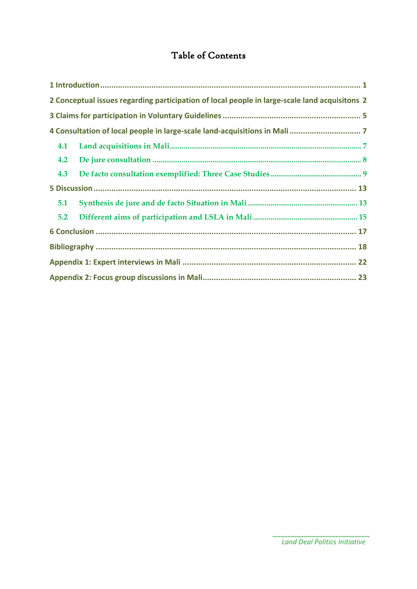## Table of Contents

|     | 2 Conceptual issues regarding participation of local people in large-scale land acquisitons 2 |  |  |  |
|-----|-----------------------------------------------------------------------------------------------|--|--|--|
|     |                                                                                               |  |  |  |
|     |                                                                                               |  |  |  |
| 4.1 |                                                                                               |  |  |  |
| 4.2 |                                                                                               |  |  |  |
| 4.3 |                                                                                               |  |  |  |
|     |                                                                                               |  |  |  |
| 5.1 |                                                                                               |  |  |  |
| 5.2 |                                                                                               |  |  |  |
|     |                                                                                               |  |  |  |
|     |                                                                                               |  |  |  |
|     |                                                                                               |  |  |  |
|     |                                                                                               |  |  |  |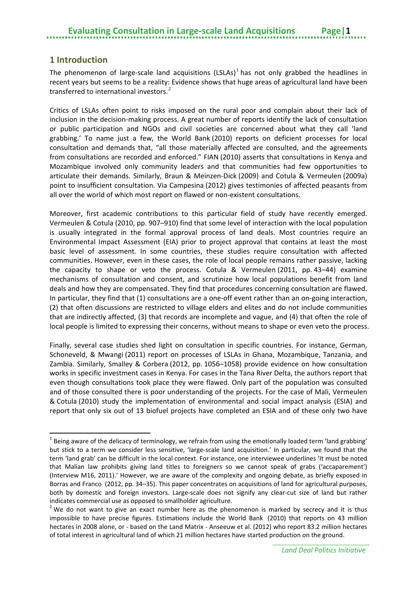#### <span id="page-4-0"></span>**1 Introduction**

 $\overline{a}$ 

The phenomenon of large-scale land acquisitions (LSLAs)<sup>[1](#page-4-1)</sup> has not only grabbed the headlines in recent years but seems to be a reality: Evidence shows that huge areas of agricultural land have been transferred to international investors.<sup>[2](#page-4-2)</sup>

Critics of LSLAs often point to risks imposed on the rural poor and complain about their lack of inclusion in the decision-making process. A great number of reports identify the lack of consultation or public participation and NGOs and civil societies are concerned about what they call 'land grabbing.' To name just a few, the World Bank (2010) reports on deficient processes for local consultation and demands that, "all those materially affected are consulted, and the agreements from consultations are recorded and enforced." FIAN (2010) asserts that consultations in Kenya and Mozambique involved only community leaders and that communities had few opportunities to articulate their demands. Similarly, Braun & Meinzen-Dick (2009) and Cotula & Vermeulen (2009a) point to insufficient consultation. Via Campesina (2012) gives testimonies of affected peasants from all over the world of which most report on flawed or non-existent consultations.

Moreover, first academic contributions to this particular field of study have recently emerged. Vermeulen & Cotula (2010, pp. 907–910) find that some level of interaction with the local population is usually integrated in the formal approval process of land deals. Most countries require an Environmental Impact Assessment (EIA) prior to project approval that contains at least the most basic level of assessment. In some countries, these studies require consultation with affected communities. However, even in these cases, the role of local people remains rather passive, lacking the capacity to shape or veto the process. Cotula & Vermeulen (2011, pp. 43–44) examine mechanisms of consultation and consent, and scrutinize how local populations benefit from land deals and how they are compensated. They find that procedures concerning consultation are flawed. In particular, they find that (1) consultations are a one-off event rather than an on-going interaction, (2) that often discussions are restricted to village elders and elites and do not include communities that are indirectly affected, (3) that records are incomplete and vague, and (4) that often the role of local people is limited to expressing their concerns, without means to shape or even veto the process.

Finally, several case studies shed light on consultation in specific countries. For instance, German, Schoneveld, & Mwangi (2011) report on processes of LSLAs in Ghana, Mozambique, Tanzania, and Zambia. Similarly, Smalley & Corbera (2012, pp. 1056–1058) provide evidence on how consultation works in specific investment cases in Kenya. For cases in the Tana River Delta, the authors report that even though consultations took place they were flawed. Only part of the population was consulted and of those consulted there is poor understanding of the projects. For the case of Mali, Vermeulen & Cotula (2010) study the implementation of environmental and social impact analysis (ESIA) and report that only six out of 13 biofuel projects have completed an ESIA and of these only two have

<span id="page-4-1"></span> $1$  Being aware of the delicacy of terminology, we refrain from using the emotionally loaded term 'land grabbing' but stick to a term we consider less sensitive, 'large-scale land acquisition.' In particular, we found that the term 'land grab' can be difficult in the local context. For instance, one interviewee underlines 'It must be noted that Malian law prohibits giving land titles to foreigners so we cannot speak of grabs ('accaparement') (Interview M16, 2011).' However, we are aware of the complexity and ongoing debate, as briefly exposed in Borras and Franco (2012, pp. 34–35). This paper concentrates on acquisitions of land for agricultural purposes, both by domestic and foreign investors. Large-scale does not signify any clear-cut size of land but rather

<span id="page-4-2"></span>indicates commercial use as opposed to smallholder agriculture.<br><sup>2</sup> We do not want to give an exact number here as the phenomenon is marked by secrecy and it is thus impossible to have precise figures. Estimations include the World Bank (2010) that reports on 43 million hectares in 2008 alone, or - based on the Land Matrix - Anseeuw et al. (2012) who report 83.2 million hectares of total interest in agricultural land of which 21 million hectares have started production on the ground.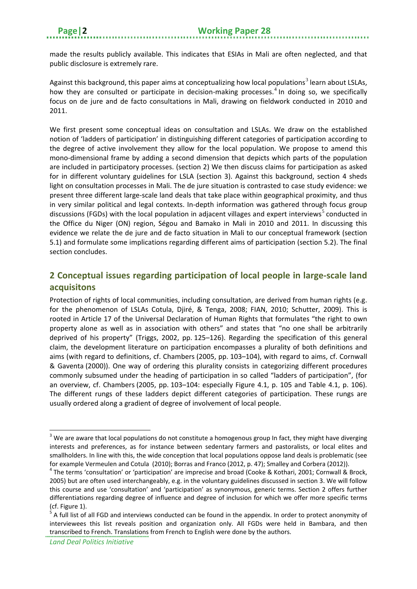made the results publicly available. This indicates that ESIAs in Mali are often neglected, and that public disclosure is extremely rare.

Against this background, this paper aims at conceptualizing how local populations<sup>[3](#page-5-1)</sup> learn about LSLAs, how they are consulted or participate in decision-making processes.<sup>[4](#page-5-2)</sup> In doing so, we specifically focus on de jure and de facto consultations in Mali, drawing on fieldwork conducted in 2010 and 2011.

We first present some conceptual ideas on consultation and LSLAs. We draw on the established notion of 'ladders of participation' in distinguishing different categories of participation according to the degree of active involvement they allow for the local population. We propose to amend this mono-dimensional frame by adding a second dimension that depicts which parts of the population are included in participatory processes. (section 2) We then discuss claims for participation as asked for in different voluntary guidelines for LSLA (section 3). Against this background, section 4 sheds light on consultation processes in Mali. The de jure situation is contrasted to case study evidence: we present three different large-scale land deals that take place within geographical proximity, and thus in very similar political and legal contexts. In-depth information was gathered through focus group discussions (FGDs) with the local population in adjacent villages and expert interviews<sup>[5](#page-5-3)</sup> conducted in the Office du Niger (ON) region, Ségou and Bamako in Mali in 2010 and 2011. In discussing this evidence we relate the de jure and de facto situation in Mali to our conceptual framework (section 5.1) and formulate some implications regarding different aims of participation (section 5.2). The final section concludes.

## <span id="page-5-0"></span>**2 Conceptual issues regarding participation of local people in large-scale land acquisitons**

Protection of rights of local communities, including consultation, are derived from human rights (e.g. for the phenomenon of LSLAs Cotula, Djiré, & Tenga, 2008; FIAN, 2010; Schutter, 2009). This is rooted in Article 17 of the Universal Declaration of Human Rights that formulates "the right to own property alone as well as in association with others" and states that "no one shall be arbitrarily deprived of his property" (Triggs, 2002, pp. 125–126). Regarding the specification of this general claim, the development literature on participation encompasses a plurality of both definitions and aims (with regard to definitions, cf. Chambers (2005, pp. 103–104), with regard to aims, cf. Cornwall & Gaventa (2000)). One way of ordering this plurality consists in categorizing different procedures commonly subsumed under the heading of participation in so called "ladders of participation", (for an overview, cf. Chambers (2005, pp. 103–104: especially Figure 4.1, p. 105 and Table 4.1, p. 106). The different rungs of these ladders depict different categories of participation. These rungs are usually ordered along a gradient of degree of involvement of local people.

*Land Deal Politics Initiative*

**.** 

<span id="page-5-1"></span> $3$  We are aware that local populations do not constitute a homogenous group In fact, they might have diverging interests and preferences, as for instance between sedentary farmers and pastoralists, or local elites and smallholders. In line with this, the wide conception that local populations oppose land deals is problematic (see for example Vermeulen and Cotula (2010); Borras and Franco (2012, p. 47); Smalley and Corbera (2012)).<br><sup>4</sup> The terms 'consultation' or 'participation' are imprecise and broad (Cooke & Kothari, 2001; Cornwall & Brock,

<span id="page-5-2"></span><sup>2005)</sup> but are often used interchangeably, e.g. in the voluntary guidelines discussed in section 3. We will follow this course and use 'consultation' and 'participation' as synonymous, generic terms. Section 2 offers further differentiations regarding degree of influence and degree of inclusion for which we offer more specific terms

<span id="page-5-3"></span><sup>(</sup>cf. Figure 1).<br> $5$  A full list of all FGD and interviews conducted can be found in the appendix. In order to protect anonymity of interviewees this list reveals position and organization only. All FGDs were held in Bambara, and then transcribed to French. Translations from French to English were done by the authors.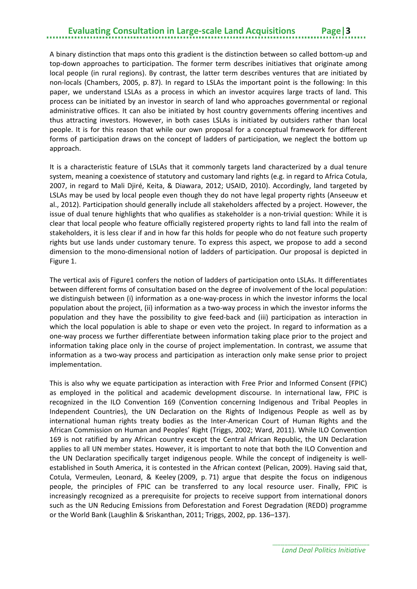A binary distinction that maps onto this gradient is the distinction between so called bottom-up and top-down approaches to participation. The former term describes initiatives that originate among local people (in rural regions). By contrast, the latter term describes ventures that are initiated by non-locals (Chambers, 2005, p. 87). In regard to LSLAs the important point is the following: In this paper, we understand LSLAs as a process in which an investor acquires large tracts of land. This process can be initiated by an investor in search of land who approaches governmental or regional administrative offices. It can also be initiated by host country governments offering incentives and thus attracting investors. However, in both cases LSLAs is initiated by outsiders rather than local people. It is for this reason that while our own proposal for a conceptual framework for different forms of participation draws on the concept of ladders of participation, we neglect the bottom up approach.

It is a characteristic feature of LSLAs that it commonly targets land characterized by a dual tenure system, meaning a coexistence of statutory and customary land rights (e.g. in regard to Africa Cotula, 2007, in regard to Mali Djiré, Keita, & Diawara, 2012; USAID, 2010). Accordingly, land targeted by LSLAs may be used by local people even though they do not have legal property rights (Anseeuw et al., 2012). Participation should generally include all stakeholders affected by a project. However, the issue of dual tenure highlights that who qualifies as stakeholder is a non-trivial question: While it is clear that local people who feature officially registered property rights to land fall into the realm of stakeholders, it is less clear if and in how far this holds for people who do not feature such property rights but use lands under customary tenure. To express this aspect, we propose to add a second dimension to the mono-dimensional notion of ladders of participation. Our proposal is depicted in Figure 1.

The vertical axis of Figure1 confers the notion of ladders of participation onto LSLAs. It differentiates between different forms of consultation based on the degree of involvement of the local population: we distinguish between (i) information as a one-way-process in which the investor informs the local population about the project, (ii) information as a two-way process in which the investor informs the population and they have the possibility to give feed-back and (iii) participation as interaction in which the local population is able to shape or even veto the project. In regard to information as a one-way process we further differentiate between information taking place prior to the project and information taking place only in the course of project implementation. In contrast, we assume that information as a two-way process and participation as interaction only make sense prior to project implementation.

This is also why we equate participation as interaction with Free Prior and Informed Consent (FPIC) as employed in the political and academic development discourse. In international law, FPIC is recognized in the ILO Convention 169 (Convention concerning Indigenous and Tribal Peoples in Independent Countries), the UN Declaration on the Rights of Indigenous People as well as by international human rights treaty bodies as the Inter-American Court of Human Rights and the African Commission on Human and Peoples' Right (Triggs, 2002; Ward, 2011). While ILO Convention 169 is not ratified by any African country except the Central African Republic, the UN Declaration applies to all UN member states. However, it is important to note that both the ILO Convention and the UN Declaration specifically target indigenous people. While the concept of indigeneity is wellestablished in South America, it is contested in the African context (Pelican, 2009). Having said that, Cotula, Vermeulen, Leonard, & Keeley (2009, p. 71) argue that despite the focus on indigenous people, the principles of FPIC can be transferred to any local resource user. Finally, FPIC is increasingly recognized as a prerequisite for projects to receive support from international donors such as the UN Reducing Emissions from Deforestation and Forest Degradation (REDD) programme or the World Bank (Laughlin & Sriskanthan, 2011; Triggs, 2002, pp. 136–137).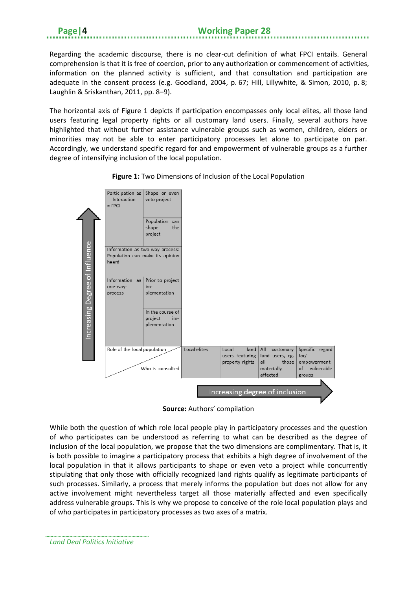Regarding the academic discourse, there is no clear-cut definition of what FPCI entails. General comprehension is that it is free of coercion, prior to any authorization or commencement of activities, information on the planned activity is sufficient, and that consultation and participation are adequate in the consent process (e.g. Goodland, 2004, p. 67; Hill, Lillywhite, & Simon, 2010, p. 8; Laughlin & Sriskanthan, 2011, pp. 8–9).

The horizontal axis of Figure 1 depicts if participation encompasses only local elites, all those land users featuring legal property rights or all customary land users. Finally, several authors have highlighted that without further assistance vulnerable groups such as women, children, elders or minorities may not be able to enter participatory processes let alone to participate on par. Accordingly, we understand specific regard for and empowerment of vulnerable groups as a further degree of intensifying inclusion of the local population.



**Figure 1:** Two Dimensions of Inclusion of the Local Population

**Source:** Authors' compilation

While both the question of which role local people play in participatory processes and the question of who participates can be understood as referring to what can be described as the degree of inclusion of the local population, we propose that the two dimensions are complimentary. That is, it is both possible to imagine a participatory process that exhibits a high degree of involvement of the local population in that it allows participants to shape or even veto a project while concurrently stipulating that only those with officially recognized land rights qualify as legitimate participants of such processes. Similarly, a process that merely informs the population but does not allow for any active involvement might nevertheless target all those materially affected and even specifically address vulnerable groups. This is why we propose to conceive of the role local population plays and of who participates in participatory processes as two axes of a matrix.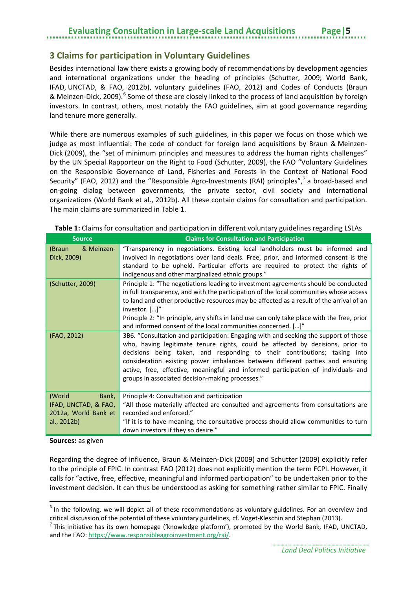#### <span id="page-8-0"></span>**3 Claims for participation in Voluntary Guidelines**

Besides international law there exists a growing body of recommendations by development agencies and international organizations under the heading of principles (Schutter, 2009; World Bank, IFAD, UNCTAD, & FAO, 2012b), voluntary guidelines (FAO, 2012) and Codes of Conducts (Braun & Meinzen-Dick, 2009).<sup>[6](#page-8-1)</sup> Some of these are closely linked to the process of land acquisition by foreign investors. In contrast, others, most notably the FAO guidelines, aim at good governance regarding land tenure more generally.

While there are numerous examples of such guidelines, in this paper we focus on those which we judge as most influential: The code of conduct for foreign land acquisitions by Braun & Meinzen-Dick (2009), the "set of minimum principles and measures to address the human rights challenges" by the UN Special Rapporteur on the Right to Food (Schutter, 2009), the FAO "Voluntary Guidelines on the Responsible Governance of Land, Fisheries and Forests in the Context of National Food Security" (FAO, 2012) and the "Responsible Agro-Investments (RAI) principles",<sup>[7](#page-8-2)</sup> a broad-based and on-going dialog between governments, the private sector, civil society and international organizations (World Bank et al., 2012b). All these contain claims for consultation and participation. The main claims are summarized in Table 1.

| <b>Source</b>                                                                  | <b>Claims for Consultation and Participation</b>                                                                                                                                                                                                                                                                                                                                                                                                                               |
|--------------------------------------------------------------------------------|--------------------------------------------------------------------------------------------------------------------------------------------------------------------------------------------------------------------------------------------------------------------------------------------------------------------------------------------------------------------------------------------------------------------------------------------------------------------------------|
| & Meinzen-<br>(Braun<br>Dick, 2009)                                            | "Transparency in negotiations. Existing local landholders must be informed and<br>involved in negotiations over land deals. Free, prior, and informed consent is the<br>standard to be upheld. Particular efforts are required to protect the rights of<br>indigenous and other marginalized ethnic groups."                                                                                                                                                                   |
| (Schutter, 2009)                                                               | Principle 1: "The negotiations leading to investment agreements should be conducted<br>in full transparency, and with the participation of the local communities whose access<br>to land and other productive resources may be affected as a result of the arrival of an<br>investor. []"<br>Principle 2: "In principle, any shifts in land use can only take place with the free, prior<br>and informed consent of the local communities concerned. []"                       |
| (FAO, 2012)                                                                    | 3B6. "Consultation and participation: Engaging with and seeking the support of those<br>who, having legitimate tenure rights, could be affected by decisions, prior to<br>decisions being taken, and responding to their contributions; taking into<br>consideration existing power imbalances between different parties and ensuring<br>active, free, effective, meaningful and informed participation of individuals and<br>groups in associated decision-making processes." |
| (World<br>Bank,<br>IFAD, UNCTAD, & FAO,<br>2012a, World Bank et<br>al., 2012b) | Principle 4: Consultation and participation<br>"All those materially affected are consulted and agreements from consultations are<br>recorded and enforced."<br>"If it is to have meaning, the consultative process should allow communities to turn<br>down investors if they so desire."                                                                                                                                                                                     |

#### **Table 1:** Claims for consultation and participation in different voluntary guidelines regarding LSLAs

**Sources:** as given

**.** 

Regarding the degree of influence, Braun & Meinzen-Dick (2009) and Schutter (2009) explicitly refer to the principle of FPIC. In contrast FAO (2012) does not explicitly mention the term FCPI. However, it calls for "active, free, effective, meaningful and informed participation" to be undertaken prior to the investment decision. It can thus be understood as asking for something rather similar to FPIC. Finally

<span id="page-8-1"></span> $6$  In the following, we will depict all of these recommendations as voluntary guidelines. For an overview and critical discussion of the potential of these voluntary guidelines, cf. Voget-Kleschin and Stephan (2013).<br><sup>7</sup> This initiative has its own homepage ('knowledge platform'), promoted by the World Bank, IFAD, UNCTAD,

<span id="page-8-2"></span>and the FAO[: https://www.responsibleagroinvestment.org/rai/.](https://www.responsibleagroinvestment.org/rai/)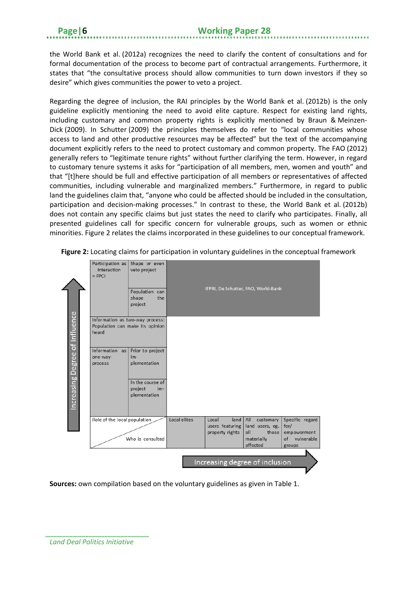the World Bank et al. (2012a) recognizes the need to clarify the content of consultations and for formal documentation of the process to become part of contractual arrangements. Furthermore, it states that "the consultative process should allow communities to turn down investors if they so desire" which gives communities the power to veto a project.

Regarding the degree of inclusion, the RAI principles by the World Bank et al. (2012b) is the only guideline explicitly mentioning the need to avoid elite capture. Respect for existing land rights, including customary and common property rights is explicitly mentioned by Braun & Meinzen-Dick (2009). In Schutter (2009) the principles themselves do refer to "local communities whose access to land and other productive resources may be affected" but the text of the accompanying document explicitly refers to the need to protect customary and common property. The FAO (2012) generally refers to "legitimate tenure rights" without further clarifying the term. However, in regard to customary tenure systems it asks for "participation of all members, men, women and youth" and that "[t]here should be full and effective participation of all members or representatives of affected communities, including vulnerable and marginalized members." Furthermore, in regard to public land the guidelines claim that, "anyone who could be affected should be included in the consultation, participation and decision-making processes." In contrast to these, the World Bank et al. (2012b) does not contain any specific claims but just states the need to clarify who participates. Finally, all presented guidelines call for specific concern for vulnerable groups, such as women or ethnic minorities. Figure 2 relates the claims incorporated in these guidelines to our conceptual framework.



**Figure 2:** Locating claims for participation in voluntary guidelines in the conceptual framework

**Sources:** own compilation based on the voluntary guidelines as given in Table 1.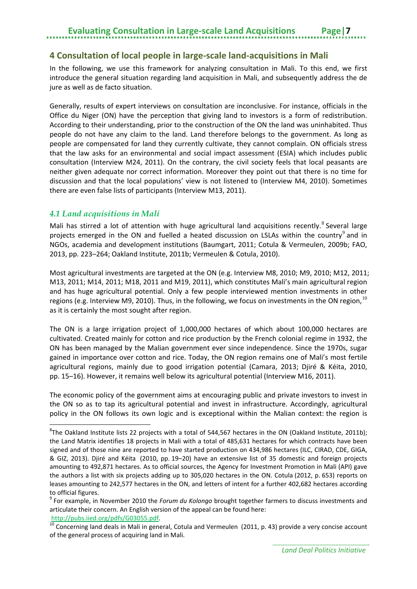#### <span id="page-10-0"></span>**4 Consultation of local people in large-scale land-acquisitions in Mali**

In the following, we use this framework for analyzing consultation in Mali. To this end, we first introduce the general situation regarding land acquisition in Mali, and subsequently address the de jure as well as de facto situation.

Generally, results of expert interviews on consultation are inconclusive. For instance, officials in the Office du Niger (ON) have the perception that giving land to investors is a form of redistribution. According to their understanding, prior to the construction of the ON the land was uninhabited. Thus people do not have any claim to the land. Land therefore belongs to the government. As long as people are compensated for land they currently cultivate, they cannot complain. ON officials stress that the law asks for an environmental and social impact assessment (ESIA) which includes public consultation (Interview M24, 2011). On the contrary, the civil society feels that local peasants are neither given adequate nor correct information. Moreover they point out that there is no time for discussion and that the local populations' view is not listened to (Interview M4, 2010). Sometimes there are even false lists of participants (Interview M13, 2011).

#### <span id="page-10-1"></span>*4.1 Land acquisitions in Mali*

**.** 

Mali has stirred a lot of attention with huge agricultural land acquisitions recently.<sup>[8](#page-10-2)</sup> Several large projects emerged in the ON and fuelled a heated discussion on LSLAs within the country<sup>[9](#page-10-3)</sup> and in NGOs, academia and development institutions (Baumgart, 2011; Cotula & Vermeulen, 2009b; FAO, 2013, pp. 223–264; Oakland Institute, 2011b; Vermeulen & Cotula, 2010).

Most agricultural investments are targeted at the ON (e.g. Interview M8, 2010; M9, 2010; M12, 2011; M13, 2011; M14, 2011; M18, 2011 and M19, 2011), which constitutes Mali's main agricultural region and has huge agricultural potential. Only a few people interviewed mention investments in other regions (e.g. Interview M9, 20[10](#page-10-4)). Thus, in the following, we focus on investments in the ON region,  $^{10}$ as it is certainly the most sought after region.

The ON is a large irrigation project of 1,000,000 hectares of which about 100,000 hectares are cultivated. Created mainly for cotton and rice production by the French colonial regime in 1932, the ON has been managed by the Malian government ever since independence. Since the 1970s, sugar gained in importance over cotton and rice. Today, the ON region remains one of Mali's most fertile agricultural regions, mainly due to good irrigation potential (Camara, 2013; Djiré & Kéita, 2010, pp. 15–16). However, it remains well below its agricultural potential (Interview M16, 2011).

The economic policy of the government aims at encouraging public and private investors to invest in the ON so as to tap its agricultural potential and invest in infrastructure. Accordingly, agricultural policy in the ON follows its own logic and is exceptional within the Malian context: the region is

<span id="page-10-2"></span> ${}^{8}$ The Oakland Institute lists 22 projects with a total of 544,567 hectares in the ON (Oakland Institute, 2011b); the Land Matrix identifies 18 projects in Mali with a total of 485,631 hectares for which contracts have been signed and of those nine are reported to have started production on 434,986 hectares (ILC, CIRAD, CDE, GIGA, & GIZ, 2013). Djiré and Kéita (2010, pp. 19–20) have an extensive list of 35 domestic and foreign projects amounting to 492,871 hectares. As to official sources, the Agency for Investment Promotion in Mali (API) gave the authors a list with six projects adding up to 305,020 hectares in the ON. Cotula (2012, p. 653) reports on leases amounting to 242,577 hectares in the ON, and letters of intent for a further 402,682 hectares according to official figures.

<span id="page-10-3"></span><sup>9</sup> For example, in November 2010 the *Forum du Kolongo* brought together farmers to discuss investments and articulate their concern. An English version of the appeal can be found here:

<span id="page-10-4"></span>[http://pubs.iied.org/pdfs/G03055.pdf.](http://pubs.iied.org/pdfs/G03055.pdf)<br><sup>10</sup> Concerning land deals in Mali in general, Cotula and Vermeulen (2011, p. 43) provide a very concise account of the general process of acquiring land in Mali.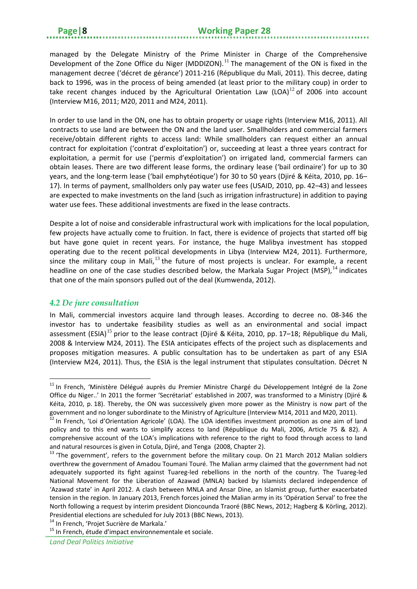#### **Page|8 Working Paper 28**

managed by the Delegate Ministry of the Prime Minister in Charge of the Comprehensive Development of the Zone Office du Niger (MDDIZON).<sup>[11](#page-11-1)</sup> The management of the ON is fixed in the management decree ('décret de gérance') 2011-216 (République du Mali, 2011). This decree, dating back to 1996, was in the process of being amended (at least prior to the military coup) in order to take recent changes induced by the Agricultural Orientation Law (LOA) $^{12}$  $^{12}$  $^{12}$  of 2006 into account (Interview M16, 2011; M20, 2011 and M24, 2011).

In order to use land in the ON, one has to obtain property or usage rights (Interview M16, 2011). All contracts to use land are between the ON and the land user. Smallholders and commercial farmers receive/obtain different rights to access land: While smallholders can request either an annual contract for exploitation ('contrat d'exploitation') or, succeeding at least a three years contract for exploitation, a permit for use ('permis d'exploitation') on irrigated land, commercial farmers can obtain leases. There are two different lease forms, the ordinary lease ('bail ordinaire') for up to 30 years, and the long-term lease ('bail emphytéotique') for 30 to 50 years (Djiré & Kéita, 2010, pp. 16– 17). In terms of payment, smallholders only pay water use fees (USAID, 2010, pp. 42–43) and lessees are expected to make investments on the land (such as irrigation infrastructure) in addition to paying water use fees. These additional investments are fixed in the lease contracts.

Despite a lot of noise and considerable infrastructural work with implications for the local population, few projects have actually come to fruition. In fact, there is evidence of projects that started off big but have gone quiet in recent years. For instance, the huge Malibya investment has stopped operating due to the recent political developments in Libya (Interview M24, 2011). Furthermore, since the military coup in Mali, $^{13}$  $^{13}$  $^{13}$  the future of most projects is unclear. For example, a recent headline on one of the case studies described below, the Markala Sugar Project (MSP), <sup>[14](#page-11-4)</sup> indicates that one of the main sponsors pulled out of the deal (Kumwenda, 2012).

#### <span id="page-11-0"></span>*4.2 De jure consultation*

 $\overline{a}$ 

In Mali, commercial investors acquire land through leases. According to decree no. 08-346 the investor has to undertake feasibility studies as well as an environmental and social impact assessment (ESIA)<sup>[15](#page-11-5)</sup> prior to the lease contract (Diiré & Kéita, 2010, pp. 17–18; République du Mali, 2008 & Interview M24, 2011). The ESIA anticipates effects of the project such as displacements and proposes mitigation measures. A public consultation has to be undertaken as part of any ESIA (Interview M24, 2011). Thus, the ESIA is the legal instrument that stipulates consultation. Décret N

<span id="page-11-1"></span><sup>&</sup>lt;sup>11</sup> In French, 'Ministère Délégué auprès du Premier Ministre Chargé du Développement Intégré de la Zone Office du Niger..' In 2011 the former 'Secrétariat' established in 2007, was transformed to a Ministry (Djiré & Kéita, 2010, p. 18). Thereby, the ON was successively given more power as the Ministry is now part of the government and no longer subordinate to the Ministry of Agriculture (Interview M14, 2011 and M20, 2011).

<span id="page-11-2"></span> $12$  In French, 'Loi d'Orientation Agricole' (LOA). The LOA identifies investment promotion as one aim of land policy and to this end wants to simplify access to land (République du Mali, 2006, Article 75 & 82). A comprehensive account of the LOA's implications with reference to the right to food through access to land and natural resources is given in Cotula, Djiré, and Tenga (2008, Chapter 2).<br><sup>13</sup> 'The government', refers to the government before the military coup. On 21 March 2012 Malian soldiers

<span id="page-11-3"></span>overthrew the government of Amadou Toumani Touré. The Malian army claimed that the government had not adequately supported its fight against Tuareg-led rebellions in the north of the country. The Tuareg-led National Movement for the Liberation of Azawad (MNLA) backed by Islamists declared independence of 'Azawad state' in April 2012. A clash between MNLA and Ansar Dine, an Islamist group, further exacerbated tension in the region. In January 2013, French forces joined the Malian army in its 'Opération Serval' to free the North following a request by interim president Dioncounda Traoré (BBC News, 2012; Hagberg & Körling, 2012). Presidential elections are scheduled for July 2013 (BBC News, 2013).

<span id="page-11-5"></span><span id="page-11-4"></span><sup>&</sup>lt;sup>14</sup> In French, 'Projet Sucrière de Markala.'<br><sup>15</sup> In French, étude d'impact environnementale et sociale.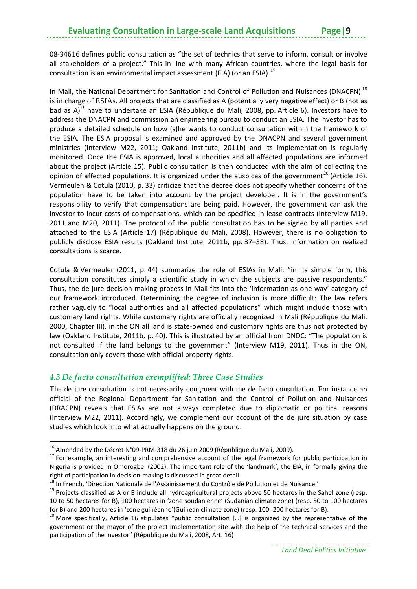08-346[16](#page-12-1) defines public consultation as "the set of technics that serve to inform, consult or involve all stakeholders of a project." This in line with many African countries, where the legal basis for consultation is an environmental impact assessment (EIA) (or an ESIA).<sup>[17](#page-12-2)</sup>

In Mali, the National Department for Sanitation and Control of Pollution and Nuisances (DNACPN)<sup>[18](#page-12-3)</sup> is in charge of ESIAs. All projects that are classified as A (potentially very negative effect) or B (not as bad as A)<sup>[19](#page-12-4)</sup> have to undertake an ESIA (République du Mali, 2008, pp. Article 6). Investors have to address the DNACPN and commission an engineering bureau to conduct an ESIA. The investor has to produce a detailed schedule on how (s)he wants to conduct consultation within the framework of the ESIA. The ESIA proposal is examined and approved by the DNACPN and several government ministries (Interview M22, 2011; Oakland Institute, 2011b) and its implementation is regularly monitored. Once the ESIA is approved, local authorities and all affected populations are informed about the project (Article 15). Public consultation is then conducted with the aim of collecting the opinion of affected populations. It is organized under the auspices of the government<sup>[20](#page-12-5)</sup> (Article 16). Vermeulen & Cotula (2010, p. 33) criticize that the decree does not specify whether concerns of the population have to be taken into account by the project developer. It is in the government's responsibility to verify that compensations are being paid. However, the government can ask the investor to incur costs of compensations, which can be specified in lease contracts (Interview M19, 2011 and M20, 2011). The protocol of the public consultation has to be signed by all parties and attached to the ESIA (Article 17) (République du Mali, 2008). However, there is no obligation to publicly disclose ESIA results (Oakland Institute, 2011b, pp. 37–38). Thus, information on realized consultations is scarce.

Cotula & Vermeulen (2011, p. 44) summarize the role of ESIAs in Mali: "in its simple form, this consultation constitutes simply a scientific study in which the subjects are passive respondents." Thus, the de jure decision-making process in Mali fits into the 'information as one-way' category of our framework introduced. Determining the degree of inclusion is more difficult: The law refers rather vaguely to "local authorities and all affected populations" which might include those with customary land rights. While customary rights are officially recognized in Mali (République du Mali, 2000, Chapter III), in the ON all land is state-owned and customary rights are thus not protected by law (Oakland Institute, 2011b, p. 40). This is illustrated by an official from DNDC: "The population is not consulted if the land belongs to the government" (Interview M19, 2011). Thus in the ON, consultation only covers those with official property rights.

#### <span id="page-12-0"></span>*4.3 De facto consultation exemplified: Three Case Studies*

The de jure consultation is not necessarily congruent with the de facto consultation. For instance an official of the Regional Department for Sanitation and the Control of Pollution and Nuisances (DRACPN) reveals that ESIAs are not always completed due to diplomatic or political reasons (Interview M22, 2011). Accordingly, we complement our account of the de jure situation by case studies which look into what actually happens on the ground.

<span id="page-12-1"></span><sup>&</sup>lt;sup>16</sup> Amended by the Décret N°09-PRM-318 du 26 juin 2009 (République du Mali, 2009).

<span id="page-12-2"></span> $17$  For example, an interesting and comprehensive account of the legal framework for public participation in Nigeria is provided in Omorogbe (2002). The important role of the 'landmark', the EIA, in formally giving the right of participation in decision-making is discussed in great detail.<br><sup>18</sup> In French, 'Direction Nationale de l'Assainissement du Contrôle de Pollution et de Nuisance.'<br><sup>19</sup> Proiects classified as A or B include all hydr

<span id="page-12-3"></span>

<span id="page-12-4"></span><sup>10</sup> to 50 hectares for B), 100 hectares in 'zone soudanienne' (Sudanian climate zone) (resp. 50 to 100 hectares for B) and 200 hectares in 'zone guinéenne'(Guinean climate zone) (resp. 100- 200 hectares for B).<br><sup>20</sup> More specifically, Article 16 stipulates "public consultation […] is organized by the representative of the

<span id="page-12-5"></span>government or the mayor of the project implementation site with the help of the technical services and the participation of the investor" (République du Mali, 2008, Art. 16)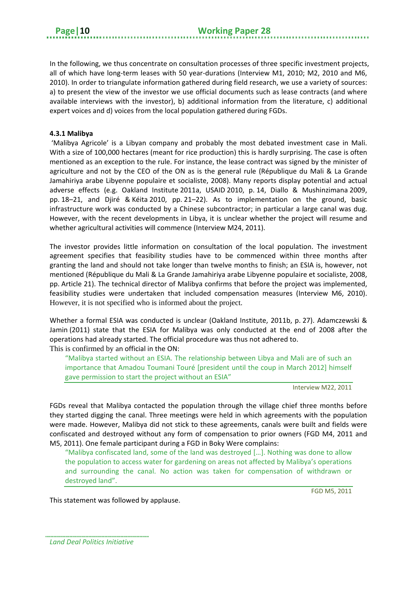In the following, we thus concentrate on consultation processes of three specific investment projects, all of which have long-term leases with 50 year-durations (Interview M1, 2010; M2, 2010 and M6, 2010). In order to triangulate information gathered during field research, we use a variety of sources: a) to present the view of the investor we use official documents such as lease contracts (and where available interviews with the investor), b) additional information from the literature, c) additional expert voices and d) voices from the local population gathered during FGDs.

#### **4.3.1 Malibya**

'Malibya Agricole' is a Libyan company and probably the most debated investment case in Mali. With a size of 100,000 hectares (meant for rice production) this is hardly surprising. The case is often mentioned as an exception to the rule. For instance, the lease contract was signed by the minister of agriculture and not by the CEO of the ON as is the general rule (République du Mali & La Grande Jamahiriya arabe Libyenne populaire et socialiste, 2008). Many reports display potential and actual adverse effects (e.g. Oakland Institute 2011a, USAID 2010, p. 14, Diallo & Mushinzimana 2009, pp. 18–21, and Djiré & Kéita 2010, pp. 21–22). As to implementation on the ground, basic infrastructure work was conducted by a Chinese subcontractor; in particular a large canal was dug. However, with the recent developments in Libya, it is unclear whether the project will resume and whether agricultural activities will commence (Interview M24, 2011).

The investor provides little information on consultation of the local population. The investment agreement specifies that feasibility studies have to be commenced within three months after granting the land and should not take longer than twelve months to finish; an ESIA is, however, not mentioned (République du Mali & La Grande Jamahiriya arabe Libyenne populaire et socialiste, 2008, pp. Article 21). The technical director of Malibya confirms that before the project was implemented, feasibility studies were undertaken that included compensation measures (Interview M6, 2010). However, it is not specified who is informed about the project.

Whether a formal ESIA was conducted is unclear (Oakland Institute, 2011b, p. 27). Adamczewski & Jamin (2011) state that the ESIA for Malibya was only conducted at the end of 2008 after the operations had already started. The official procedure was thus not adhered to. This is confirmed by an official in the ON:

"Malibya started without an ESIA. The relationship between Libya and Mali are of such an importance that Amadou Toumani Touré [president until the coup in March 2012] himself gave permission to start the project without an ESIA"

Interview M22, 2011

FGDs reveal that Malibya contacted the population through the village chief three months before they started digging the canal. Three meetings were held in which agreements with the population were made. However, Malibya did not stick to these agreements, canals were built and fields were confiscated and destroyed without any form of compensation to prior owners (FGD M4, 2011 and M5, 2011). One female participant during a FGD in Boky Were complains:

"Malibya confiscated land, some of the land was destroyed […]. Nothing was done to allow the population to access water for gardening on areas not affected by Malibya's operations and surrounding the canal. No action was taken for compensation of withdrawn or destroyed land".

FGD M5, 2011

This statement was followed by applause.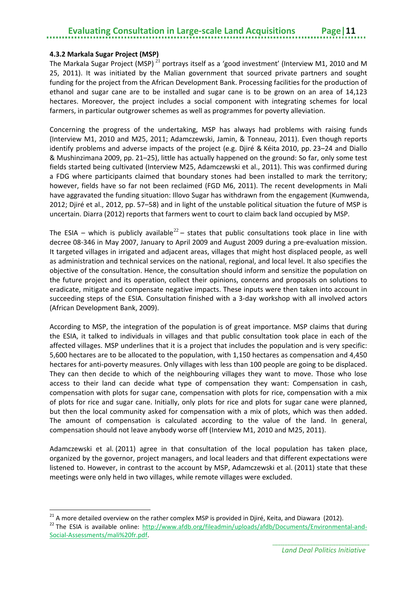#### **4.3.2 Markala Sugar Project (MSP)**

 $\overline{a}$ 

The Markala Sugar Project (MSP)<sup>[21](#page-14-0)</sup> portrays itself as a 'good investment' (Interview M1, 2010 and M 25, 2011). It was initiated by the Malian government that sourced private partners and sought funding for the project from the African Development Bank. Processing facilities for the production of ethanol and sugar cane are to be installed and sugar cane is to be grown on an area of 14,123 hectares. Moreover, the project includes a social component with integrating schemes for local farmers, in particular outgrower schemes as well as programmes for poverty alleviation.

Concerning the progress of the undertaking, MSP has always had problems with raising funds (Interview M1, 2010 and M25, 2011; Adamczewski, Jamin, & Tonneau, 2011). Even though reports identify problems and adverse impacts of the project (e.g. Djiré & Kéita 2010, pp. 23–24 and Diallo & Mushinzimana 2009, pp. 21–25), little has actually happened on the ground: So far, only some test fields started being cultivated (Interview M25, Adamczewski et al., 2011). This was confirmed during a FDG where participants claimed that boundary stones had been installed to mark the territory; however, fields have so far not been reclaimed (FGD M6, 2011). The recent developments in Mali have aggravated the funding situation: Illovo Sugar has withdrawn from the engagement (Kumwenda, 2012; Djiré et al., 2012, pp. 57–58) and in light of the unstable political situation the future of MSP is uncertain. Diarra (2012) reports that farmers went to court to claim back land occupied by MSP.

The ESIA – which is publicly available<sup>[22](#page-14-1)</sup> – states that public consultations took place in line with decree 08-346 in May 2007, January to April 2009 and August 2009 during a pre-evaluation mission. It targeted villages in irrigated and adjacent areas, villages that might host displaced people, as well as administration and technical services on the national, regional, and local level. It also specifies the objective of the consultation. Hence, the consultation should inform and sensitize the population on the future project and its operation, collect their opinions, concerns and proposals on solutions to eradicate, mitigate and compensate negative impacts. These inputs were then taken into account in succeeding steps of the ESIA. Consultation finished with a 3-day workshop with all involved actors (African Development Bank, 2009).

According to MSP, the integration of the population is of great importance. MSP claims that during the ESIA, it talked to individuals in villages and that public consultation took place in each of the affected villages. MSP underlines that it is a project that includes the population and is very specific: 5,600 hectares are to be allocated to the population, with 1,150 hectares as compensation and 4,450 hectares for anti-poverty measures. Only villages with less than 100 people are going to be displaced. They can then decide to which of the neighbouring villages they want to move. Those who lose access to their land can decide what type of compensation they want: Compensation in cash, compensation with plots for sugar cane, compensation with plots for rice, compensation with a mix of plots for rice and sugar cane. Initially, only plots for rice and plots for sugar cane were planned, but then the local community asked for compensation with a mix of plots, which was then added. The amount of compensation is calculated according to the value of the land. In general, compensation should not leave anybody worse off (Interview M1, 2010 and M25, 2011).

Adamczewski et al. (2011) agree in that consultation of the local population has taken place, organized by the governor, project managers, and local leaders and that different expectations were listened to. However, in contrast to the account by MSP, Adamczewski et al. (2011) state that these meetings were only held in two villages, while remote villages were excluded.

<span id="page-14-1"></span><span id="page-14-0"></span><sup>&</sup>lt;sup>21</sup> A more detailed overview on the rather complex MSP is provided in Djiré, Keita, and Diawara (2012). <sup>22</sup> The ESIA is available online: [http://www.afdb.org/fileadmin/uploads/afdb/Documents/Environmental-and-](http://www.afdb.org/fileadmin/uploads/afdb/Documents/Environmental-and-Social-Assessments/mali%20fr.pdf)[Social-Assessments/mali%20fr.pdf.](http://www.afdb.org/fileadmin/uploads/afdb/Documents/Environmental-and-Social-Assessments/mali%20fr.pdf)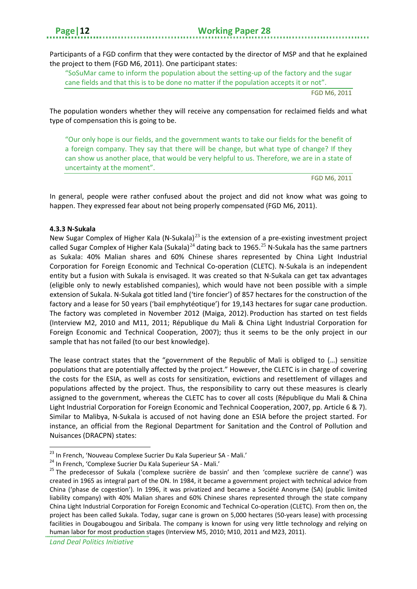Participants of a FGD confirm that they were contacted by the director of MSP and that he explained the project to them (FGD M6, 2011). One participant states:

"SoSuMar came to inform the population about the setting-up of the factory and the sugar cane fields and that this is to be done no matter if the population accepts it or not".

FGD M6, 2011

The population wonders whether they will receive any compensation for reclaimed fields and what type of compensation this is going to be.

"Our only hope is our fields, and the government wants to take our fields for the benefit of a foreign company. They say that there will be change, but what type of change? If they can show us another place, that would be very helpful to us. Therefore, we are in a state of uncertainty at the moment".

FGD M6, 2011

In general, people were rather confused about the project and did not know what was going to happen. They expressed fear about not being properly compensated (FGD M6, 2011).

#### **4.3.3 N-Sukala**

New Sugar Complex of Higher Kala (N-Sukala) $^{23}$  $^{23}$  $^{23}$  is the extension of a pre-existing investment project called Sugar Complex of Higher Kala (Sukala)<sup>[24](#page-15-1)</sup> dating back to 1965.<sup>[25](#page-15-2)</sup> N-Sukala has the same partners as Sukala: 40% Malian shares and 60% Chinese shares represented by China Light Industrial Corporation for Foreign Economic and Technical Co-operation (CLETC). N-Sukala is an independent entity but a fusion with Sukala is envisaged. It was created so that N-Sukala can get tax advantages (eligible only to newly established companies), which would have not been possible with a simple extension of Sukala. N-Sukala got titled land ('tire foncier') of 857 hectares for the construction of the factory and a lease for 50 years ('bail emphytéotique') for 19,143 hectares for sugar cane production. The factory was completed in November 2012 (Maiga, 2012). Production has started on test fields (Interview M2, 2010 and M11, 2011; République du Mali & China Light Industrial Corporation for Foreign Economic and Technical Cooperation, 2007); thus it seems to be the only project in our sample that has not failed (to our best knowledge).

The lease contract states that the "government of the Republic of Mali is obliged to (…) sensitize populations that are potentially affected by the project." However, the CLETC is in charge of covering the costs for the ESIA, as well as costs for sensitization, evictions and resettlement of villages and populations affected by the project. Thus, the responsibility to carry out these measures is clearly assigned to the government, whereas the CLETC has to cover all costs (République du Mali & China Light Industrial Corporation for Foreign Economic and Technical Cooperation, 2007, pp. Article 6 & 7). Similar to Malibya, N-Sukala is accused of not having done an ESIA before the project started. For instance, an official from the Regional Department for Sanitation and the Control of Pollution and Nuisances (DRACPN) states:

**<sup>.</sup>** 

<span id="page-15-2"></span>

<span id="page-15-1"></span><span id="page-15-0"></span><sup>&</sup>lt;sup>23</sup> In French, 'Nouveau Complexe Sucrier Du Kala Superieur SA - Mali.'<br><sup>24</sup> In French, 'Complexe Sucrier Du Kala Superieur SA - Mali.'<br><sup>25</sup> The predecessor of Sukala ('complexe sucrière de bassin' and then 'complexe sucr created in 1965 as integral part of the ON. In 1984, it became a government project with technical advice from China ('phase de cogestion'). In 1996, it was privatized and became a Société Anonyme (SA) (public limited liability company) with 40% Malian shares and 60% Chinese shares represented through the state company China Light Industrial Corporation for Foreign Economic and Technical Co-operation (CLETC). From then on, the project has been called Sukala. Today, sugar cane is grown on 5,000 hectares (50-years lease) with processing facilities in Dougabougou and Siribala. The company is known for using very little technology and relying on human labor for most production stages (Interview M5, 2010; M10, 2011 and M23, 2011).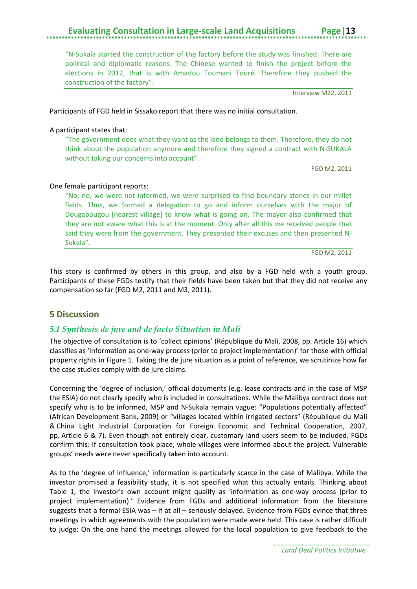"N-Sukala started the construction of the factory before the study was finished. There are political and diplomatic reasons. The Chinese wanted to finish the project before the elections in 2012, that is with Amadou Toumani Touré. Therefore they pushed the construction of the factory".

Interview M22, 2011

Participants of FGD held in Sissako report that there was no initial consultation.

#### A participant states that:

"The government does what they want as the land belongs to them. Therefore, they do not think about the population anymore and therefore they signed a contract with N-SUKALA without taking our concerns into account".

FGD M2, 2011

#### One female participant reports:

"No, no, we were not informed, we were surprised to find boundary stones in our millet fields. Thus, we formed a delegation to go and inform ourselves with the major of Dougabougou [nearest village] to know what is going on. The mayor also confirmed that they are not aware what this is at the moment. Only after all this we received people that said they were from the government. They presented their excuses and then presented N-Sukala".

FGD M2, 2011

This story is confirmed by others in this group, and also by a FGD held with a youth group. Participants of these FGDs testify that their fields have been taken but that they did not receive any compensation so far (FGD M2, 2011 and M3, 2011).

#### <span id="page-16-0"></span>**5 Discussion**

#### <span id="page-16-1"></span>*5.1 Synthesis de jure and de facto Situation in Mali*

The objective of consultation is to 'collect opinions' (République du Mali, 2008, pp. Article 16) which classifies as 'information as one-way process (prior to project implementation)' for those with official property rights in Figure 1. Taking the de jure situation as a point of reference, we scrutinize how far the case studies comply with de jure claims.

Concerning the 'degree of inclusion,' official documents (e.g. lease contracts and in the case of MSP the ESIA) do not clearly specify who is included in consultations. While the Malibya contract does not specify who is to be informed, MSP and N-Sukala remain vague: "Populations potentially affected" (African Development Bank, 2009) or "villages located within irrigated sectors" (République du Mali & China Light Industrial Corporation for Foreign Economic and Technical Cooperation, 2007, pp. Article 6 & 7). Even though not entirely clear, customary land users seem to be included. FGDs confirm this: if consultation took place, whole villages were informed about the project. Vulnerable groups' needs were never specifically taken into account.

As to the 'degree of influence,' information is particularly scarce in the case of Malibya. While the investor promised a feasibility study, it is not specified what this actually entails. Thinking about Table 1, the investor's own account might qualify as 'information as one-way process (prior to project implementation).' Evidence from FGDs and additional information from the literature suggests that a formal ESIA was – if at all – seriously delayed. Evidence from FGDs evince that three meetings in which agreements with the population were made were held. This case is rather difficult to judge: On the one hand the meetings allowed for the local population to give feedback to the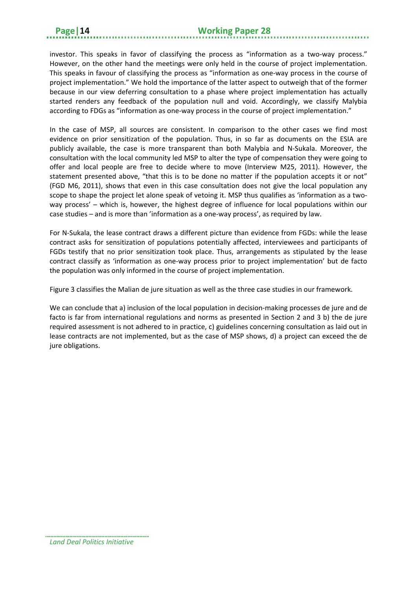investor. This speaks in favor of classifying the process as "information as a two-way process." However, on the other hand the meetings were only held in the course of project implementation. This speaks in favour of classifying the process as "information as one-way process in the course of project implementation." We hold the importance of the latter aspect to outweigh that of the former because in our view deferring consultation to a phase where project implementation has actually started renders any feedback of the population null and void. Accordingly, we classify Malybia according to FDGs as "information as one-way process in the course of project implementation."

In the case of MSP, all sources are consistent. In comparison to the other cases we find most evidence on prior sensitization of the population. Thus, in so far as documents on the ESIA are publicly available, the case is more transparent than both Malybia and N-Sukala. Moreover, the consultation with the local community led MSP to alter the type of compensation they were going to offer and local people are free to decide where to move (Interview M25, 2011). However, the statement presented above, "that this is to be done no matter if the population accepts it or not" (FGD M6, 2011), shows that even in this case consultation does not give the local population any scope to shape the project let alone speak of vetoing it. MSP thus qualifies as 'information as a twoway process' – which is, however, the highest degree of influence for local populations within our case studies – and is more than 'information as a one-way process', as required by law.

For N-Sukala, the lease contract draws a different picture than evidence from FGDs: while the lease contract asks for sensitization of populations potentially affected, interviewees and participants of FGDs testify that no prior sensitization took place. Thus, arrangements as stipulated by the lease contract classify as 'information as one-way process prior to project implementation' but de facto the population was only informed in the course of project implementation.

Figure 3 classifies the Malian de jure situation as well as the three case studies in our framework.

We can conclude that a) inclusion of the local population in decision-making processes de jure and de facto is far from international regulations and norms as presented in Section 2 and 3 b) the de jure required assessment is not adhered to in practice, c) guidelines concerning consultation as laid out in lease contracts are not implemented, but as the case of MSP shows, d) a project can exceed the de jure obligations.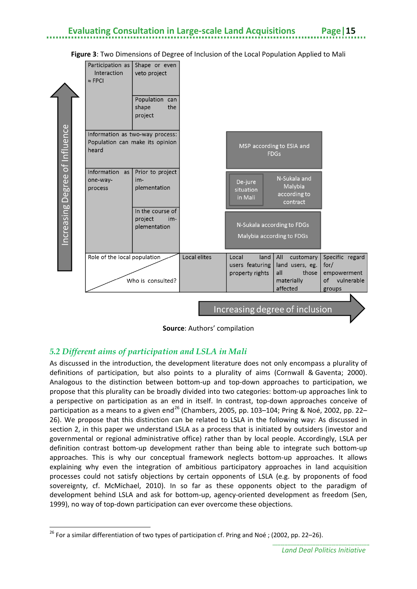

#### **Figure 3**: Two Dimensions of Degree of Inclusion of the Local Population Applied to Mali

**Source**: Authors' compilation

#### <span id="page-18-0"></span>*5.2 Different aims of participation and LSLA in Mali*

**.** 

As discussed in the introduction, the development literature does not only encompass a plurality of definitions of participation, but also points to a plurality of aims (Cornwall & Gaventa; 2000). Analogous to the distinction between bottom-up and top-down approaches to participation, we propose that this plurality can be broadly divided into two categories: bottom-up approaches link to a perspective on participation as an end in itself. In contrast, top-down approaches conceive of participation as a means to a given end<sup>[26](#page-18-1)</sup> (Chambers, 2005, pp. 103–104; Pring & Noé, 2002, pp. 22– 26). We propose that this distinction can be related to LSLA in the following way: As discussed in section 2, in this paper we understand LSLA as a process that is initiated by outsiders (investor and governmental or regional administrative office) rather than by local people. Accordingly, LSLA per definition contrast bottom-up development rather than being able to integrate such bottom-up approaches. This is why our conceptual framework neglects bottom-up approaches. It allows explaining why even the integration of ambitious participatory approaches in land acquisition processes could not satisfy objections by certain opponents of LSLA (e.g. by proponents of food sovereignty, cf. McMichael, 2010). In so far as these opponents object to the paradigm of development behind LSLA and ask for bottom-up, agency-oriented development as freedom (Sen, 1999), no way of top-down participation can ever overcome these objections.

<span id="page-18-1"></span><sup>&</sup>lt;sup>26</sup> For a similar differentiation of two types of participation cf. Pring and Noé ; (2002, pp. 22–26).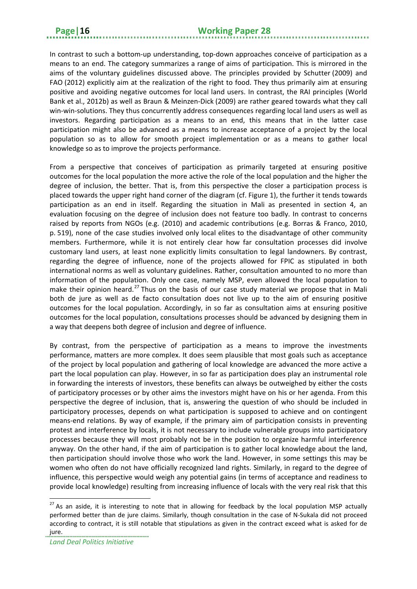In contrast to such a bottom-up understanding, top-down approaches conceive of participation as a means to an end. The category summarizes a range of aims of participation. This is mirrored in the aims of the voluntary guidelines discussed above. The principles provided by Schutter (2009) and FAO (2012) explicitly aim at the realization of the right to food. They thus primarily aim at ensuring positive and avoiding negative outcomes for local land users. In contrast, the RAI principles (World Bank et al., 2012b) as well as Braun & Meinzen-Dick (2009) are rather geared towards what they call win-win-solutions. They thus concurrently address consequences regarding local land users as well as investors. Regarding participation as a means to an end, this means that in the latter case participation might also be advanced as a means to increase acceptance of a project by the local population so as to allow for smooth project implementation or as a means to gather local knowledge so as to improve the projects performance.

From a perspective that conceives of participation as primarily targeted at ensuring positive outcomes for the local population the more active the role of the local population and the higher the degree of inclusion, the better. That is, from this perspective the closer a participation process is placed towards the upper right hand corner of the diagram (cf. Figure 1), the further it tends towards participation as an end in itself. Regarding the situation in Mali as presented in section 4, an evaluation focusing on the degree of inclusion does not feature too badly. In contrast to concerns raised by reports from NGOs (e.g. (2010) and academic contributions (e.g. Borras & Franco, 2010, p. 519), none of the case studies involved only local elites to the disadvantage of other community members. Furthermore, while it is not entirely clear how far consultation processes did involve customary land users, at least none explicitly limits consultation to legal landowners. By contrast, regarding the degree of influence, none of the projects allowed for FPIC as stipulated in both international norms as well as voluntary guidelines. Rather, consultation amounted to no more than information of the population. Only one case, namely MSP, even allowed the local population to make their opinion heard.<sup>[27](#page-19-0)</sup> Thus on the basis of our case study material we propose that in Mali both de jure as well as de facto consultation does not live up to the aim of ensuring positive outcomes for the local population. Accordingly, in so far as consultation aims at ensuring positive outcomes for the local population, consultations processes should be advanced by designing them in a way that deepens both degree of inclusion and degree of influence.

By contrast, from the perspective of participation as a means to improve the investments performance, matters are more complex. It does seem plausible that most goals such as acceptance of the project by local population and gathering of local knowledge are advanced the more active a part the local population can play. However, in so far as participation does play an instrumental role in forwarding the interests of investors, these benefits can always be outweighed by either the costs of participatory processes or by other aims the investors might have on his or her agenda. From this perspective the degree of inclusion, that is, answering the question of who should be included in participatory processes, depends on what participation is supposed to achieve and on contingent means-end relations. By way of example, if the primary aim of participation consists in preventing protest and interference by locals, it is not necessary to include vulnerable groups into participatory processes because they will most probably not be in the position to organize harmful interference anyway. On the other hand, if the aim of participation is to gather local knowledge about the land, then participation should involve those who work the land. However, in some settings this may be women who often do not have officially recognized land rights. Similarly, in regard to the degree of influence, this perspective would weigh any potential gains (in terms of acceptance and readiness to provide local knowledge) resulting from increasing influence of locals with the very real risk that this

**.** 

<span id="page-19-0"></span> $27$  As an aside, it is interesting to note that in allowing for feedback by the local population MSP actually performed better than de jure claims. Similarly, though consultation in the case of N-Sukala did not proceed according to contract, it is still notable that stipulations as given in the contract exceed what is asked for de jure.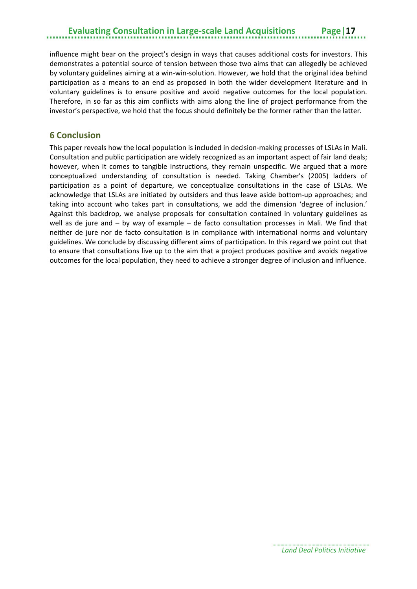influence might bear on the project's design in ways that causes additional costs for investors. This demonstrates a potential source of tension between those two aims that can allegedly be achieved by voluntary guidelines aiming at a win-win-solution. However, we hold that the original idea behind participation as a means to an end as proposed in both the wider development literature and in voluntary guidelines is to ensure positive and avoid negative outcomes for the local population. Therefore, in so far as this aim conflicts with aims along the line of project performance from the investor's perspective, we hold that the focus should definitely be the former rather than the latter.

#### <span id="page-20-0"></span>**6 Conclusion**

This paper reveals how the local population is included in decision-making processes of LSLAs in Mali. Consultation and public participation are widely recognized as an important aspect of fair land deals; however, when it comes to tangible instructions, they remain unspecific. We argued that a more conceptualized understanding of consultation is needed. Taking Chamber's (2005) ladders of participation as a point of departure, we conceptualize consultations in the case of LSLAs. We acknowledge that LSLAs are initiated by outsiders and thus leave aside bottom-up approaches; and taking into account who takes part in consultations, we add the dimension 'degree of inclusion.' Against this backdrop, we analyse proposals for consultation contained in voluntary guidelines as well as de jure and – by way of example – de facto consultation processes in Mali. We find that neither de jure nor de facto consultation is in compliance with international norms and voluntary guidelines. We conclude by discussing different aims of participation. In this regard we point out that to ensure that consultations live up to the aim that a project produces positive and avoids negative outcomes for the local population, they need to achieve a stronger degree of inclusion and influence.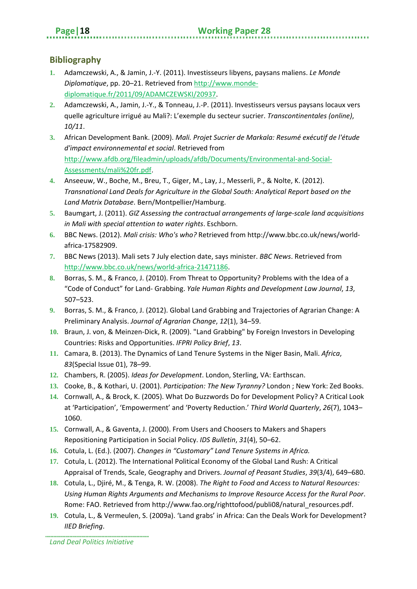#### <span id="page-21-0"></span>**Bibliography**

- **1.** Adamczewski, A., & Jamin, J.-Y. (2011). Investisseurs libyens, paysans maliens. *Le Monde Diplomatique*, pp. 20–21. Retrieved from http://www.mondediplomatique.fr/2011/09/ADAMCZEWSKI/20937.
- **2.** Adamczewski, A., Jamin, J.-Y., & Tonneau, J.-P. (2011). Investisseurs versus paysans locaux vers quelle agriculture irrigué au Mali?: L'exemple du secteur sucrier. *Transcontinentales (online)*, *10/11*.
- **3.** African Development Bank. (2009). *Mali. Projet Sucrier de Markala: Resumé exécutif de l'étude d'impact environnemental et social*. Retrieved from http://www.afdb.org/fileadmin/uploads/afdb/Documents/Environmental-and-Social-Assessments/mali%20fr.pdf.
- **4.** Anseeuw, W., Boche, M., Breu, T., Giger, M., Lay, J., Messerli, P., & Nolte, K. (2012). *Transnational Land Deals for Agriculture in the Global South: Analytical Report based on the Land Matrix Database*. Bern/Montpellier/Hamburg.
- **5.** Baumgart, J. (2011). *GIZ Assessing the contractual arrangements of large-scale land acquisitions in Mali with special attention to water rights*. Eschborn.
- **6.** BBC News. (2012). *Mali crisis: Who's who?* Retrieved from http://www.bbc.co.uk/news/worldafrica-17582909.
- **7.** BBC News (2013). Mali sets 7 July election date, says minister. *BBC News*. Retrieved from http://www.bbc.co.uk/news/world-africa-21471186.
- **8.** Borras, S. M., & Franco, J. (2010). From Threat to Opportunity? Problems with the Idea of a "Code of Conduct" for Land- Grabbing. *Yale Human Rights and Development Law Journal*, *13*, 507–523.
- **9.** Borras, S. M., & Franco, J. (2012). Global Land Grabbing and Trajectories of Agrarian Change: A Preliminary Analysis. *Journal of Agrarian Change*, *12*(1), 34–59.
- **10.** Braun, J. von, & Meinzen-Dick, R. (2009). "Land Grabbing" by Foreign Investors in Developing Countries: Risks and Opportunities. *IFPRI Policy Brief*, *13*.
- **11.** Camara, B. (2013). The Dynamics of Land Tenure Systems in the Niger Basin, Mali. *Africa*, *83*(Special Issue 01), 78–99.
- **12.** Chambers, R. (2005). *Ideas for Development*. London, Sterling, VA: Earthscan.
- **13.** Cooke, B., & Kothari, U. (2001). *Participation: The New Tyranny?* London ; New York: Zed Books.
- **14.** Cornwall, A., & Brock, K. (2005). What Do Buzzwords Do for Development Policy? A Critical Look at 'Participation', 'Empowerment' and 'Poverty Reduction.' *Third World Quarterly*, *26*(7), 1043– 1060.
- **15.** Cornwall, A., & Gaventa, J. (2000). From Users and Choosers to Makers and Shapers Repositioning Participation in Social Policy. *IDS Bulletin*, *31*(4), 50–62.
- **16.** Cotula, L. (Ed.). (2007). *Changes in "Customary" Land Tenure Systems in Africa.*
- **17.** Cotula, L. (2012). The International Political Economy of the Global Land Rush: A Critical Appraisal of Trends, Scale, Geography and Drivers. *Journal of Peasant Studies*, *39*(3/4), 649–680.
- **18.** Cotula, L., Djiré, M., & Tenga, R. W. (2008). *The Right to Food and Access to Natural Resources: Using Human Rights Arguments and Mechanisms to Improve Resource Access for the Rural Poor*. Rome: FAO. Retrieved from http://www.fao.org/righttofood/publi08/natural\_resources.pdf.
- **19.** Cotula, L., & Vermeulen, S. (2009a). 'Land grabs' in Africa: Can the Deals Work for Development? *IIED Briefing*.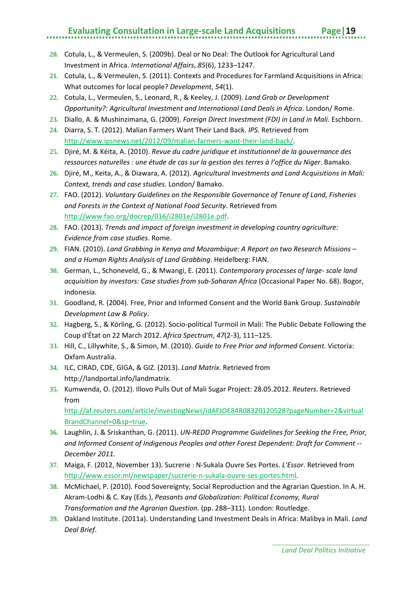- **20.** Cotula, L., & Vermeulen, S. (2009b). Deal or No Deal: The Outlook for Agricultural Land Investment in Africa. *International Affairs*, *85*(6), 1233–1247.
- **21.** Cotula, L., & Vermeulen, S. (2011). Contexts and Procedures for Farmland Acquisitions in Africa: What outcomes for local people? *Development*, *54*(1).
- **22.** Cotula, L., Vermeulen, S., Leonard, R., & Keeley, J. (2009). *Land Grab or Development Opportunity?: Agricultural Investment and International Land Deals in Africa*. London/ Rome.
- **23.** Diallo, A. & Mushinzimana, G. (2009). *Foreign Direct Investment (FDI) in Land in Mali*. Eschborn.
- **24.** Diarra, S. T. (2012). Malian Farmers Want Their Land Back. *IPS*. Retrieved from http://www.ipsnews.net/2012/09/malian-farmers-want-their-land-back/.
- **25.** Djiré, M. & Kéita, A. (2010). *Revue du cadre juridique et institutionnel de la gouvernance des ressources naturelles : une étude de cas sur la gestion des terres à l'office du Niger*. Bamako.
- **26.** Djiré, M., Keita, A., & Diawara, A. (2012). *Agricultural Investments and Land Acquisitions in Mali: Context, trends and case studies*. London/ Bamako.
- **27.** FAO. (2012). *Voluntary Guidelines on the Responsible Governance of Tenure of Land, Fisheries and Forests in the Context of National Food Security*. Retrieved from http://www.fao.org/docrep/016/i2801e/i2801e.pdf.
- **28.** FAO. (2013). *Trends and impact of foreign investment in developing country agriculture: Evidence from case studies*. Rome.
- **29.** FIAN. (2010). *Land Grabbing in Kenya and Mozambique: A Report on two Research Missions – and a Human Rights Analysis of Land Grabbing*. Heidelberg: FIAN.
- **30.** German, L., Schoneveld, G., & Mwangi, E. (2011). *Contemporary processes of large- scale land acquisition by investors: Case studies from sub-Saharan Africa* (Occasional Paper No. 68). Bogor, Indonesia.
- **31.** Goodland, R. (2004). Free, Prior and Informed Consent and the World Bank Group. *Sustainable Development Law & Policy*.
- **32.** Hagberg, S., & Körling, G. (2012). Socio-political Turmoil in Mali: The Public Debate Following the Coup d'État on 22 March 2012. *Africa Spectrum*, *47*(2-3), 111–125.
- **33.** Hill, C., Lillywhite, S., & Simon, M. (2010). *Guide to Free Prior and Informed Consent.* Victoria: Oxfam Australia.
- **34.** ILC, CIRAD, CDE, GIGA, & GIZ. (2013). *Land Matrix*. Retrieved from http://landportal.info/landmatrix.
- **35.** Kumwenda, O. (2012). Illovo Pulls Out of Mali Sugar Project: 28.05.2012. *Reuters*. Retrieved from

http://af.reuters.com/article/investingNews/idAFJOE84R08320120528?pageNumber=2&virtual BrandChannel=0&sp=true.

- **36.** Laughlin, J. & Sriskanthan, G. (2011). *UN-REDD Programme Guidelines for Seeking the Free, Prior, and Informed Consent of Indigenous Peoples and other Forest Dependent: Draft for Comment -- December 2011.*
- **37.** Maiga, F. (2012, November 13). Sucrerie : N-Sukala Ouvre Ses Portes. *L'Essor*. Retrieved from http://www.essor.ml/newspaper/sucrerie-n-sukala-ouvre-ses-portes.html.
- **38.** McMichael, P. (2010). Food Sovereignty, Social Reproduction and the Agrarian Question. In A. H. Akram-Lodhi & C. Kay (Eds.), *Peasants and Globalization: Political Economy, Rural Transformation and the Agrarian Question.* (pp. 288–311). London: Routledge.
- **39.** Oakland Institute. (2011a). Understanding Land Investment Deals in Africa: Malibya in Mali. *Land Deal Brief*.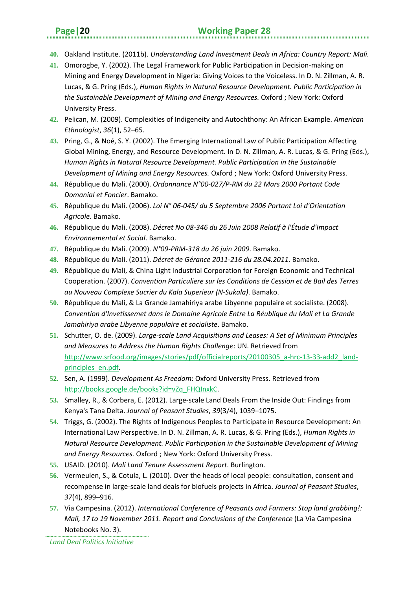- **40.** Oakland Institute. (2011b). *Understanding Land Investment Deals in Africa: Country Report: Mali.*
- **41.** Omorogbe, Y. (2002). The Legal Framework for Public Participation in Decision-making on Mining and Energy Development in Nigeria: Giving Voices to the Voiceless. In D. N. Zillman, A. R. Lucas, & G. Pring (Eds.), *Human Rights in Natural Resource Development. Public Participation in the Sustainable Development of Mining and Energy Resources.* Oxford ; New York: Oxford University Press.
- **42.** Pelican, M. (2009). Complexities of Indigeneity and Autochthony: An African Example. *American Ethnologist*, *36*(1), 52–65.
- **43.** Pring, G., & Noé, S. Y. (2002). The Emerging International Law of Public Participation Affecting Global Mining, Energy, and Resource Development. In D. N. Zillman, A. R. Lucas, & G. Pring (Eds.), *Human Rights in Natural Resource Development. Public Participation in the Sustainable Development of Mining and Energy Resources.* Oxford ; New York: Oxford University Press.
- **44.** République du Mali. (2000). *Ordonnance N°00-027/P-RM du 22 Mars 2000 Portant Code Domanial et Foncier*. Bamako.
- **45.** République du Mali. (2006). *Loi N° 06-045/ du 5 Septembre 2006 Portant Loi d'Orientation Agricole*. Bamako.
- **46.** République du Mali. (2008). *Décret No 08-346 du 26 Juin 2008 Relatif à l'Étude d'Impact Environnemental et Social*. Bamako.
- **47.** République du Mali. (2009). *N°09-PRM-318 du 26 juin 2009*. Bamako.
- **48.** République du Mali. (2011). *Décret de Gérance 2011-216 du 28.04.2011*. Bamako.
- **49.** République du Mali, & China Light Industrial Corporation for Foreign Economic and Technical Cooperation. (2007). *Convention Particuliere sur les Conditions de Cession et de Bail des Terres au Nouveau Complexe Sucrier du Kala Superieur (N-Sukala)*. Bamako.
- **50.** République du Mali, & La Grande Jamahiriya arabe Libyenne populaire et socialiste. (2008). *Convention d'Invetissemet dans le Domaine Agricole Entre La Réublique du Mali et La Grande Jamahiriya arabe Libyenne populaire et socialiste*. Bamako.
- **51.** Schutter, O. de. (2009). *Large-scale Land Acquisitions and Leases: A Set of Minimum Principles and Measures to Address the Human Rights Challenge*: UN. Retrieved from http://www.srfood.org/images/stories/pdf/officialreports/20100305\_a-hrc-13-33-add2\_landprinciples\_en.pdf.
- **52.** Sen, A. (1999). *Development As Freedom*: Oxford University Press. Retrieved from http://books.google.de/books?id=vZq\_FHQInxkC.
- **53.** Smalley, R., & Corbera, E. (2012). Large-scale Land Deals From the Inside Out: Findings from Kenya's Tana Delta. *Journal of Peasant Studies*, *39*(3/4), 1039–1075.
- **54.** Triggs, G. (2002). The Rights of Indigenous Peoples to Participate in Resource Development: An International Law Perspective. In D. N. Zillman, A. R. Lucas, & G. Pring (Eds.), *Human Rights in Natural Resource Development. Public Participation in the Sustainable Development of Mining and Energy Resources.* Oxford ; New York: Oxford University Press.
- **55.** USAID. (2010). *Mali Land Tenure Assessment Report*. Burlington.
- **56.** Vermeulen, S., & Cotula, L. (2010). Over the heads of local people: consultation, consent and recompense in large-scale land deals for biofuels projects in Africa. *Journal of Peasant Studies*, *37*(4), 899–916.
- **57.** Via Campesina. (2012). *International Conference of Peasants and Farmers: Stop land grabbing!: Mali, 17 to 19 November 2011. Report and Conclusions of the Conference* (La Via Campesina Notebooks No. 3).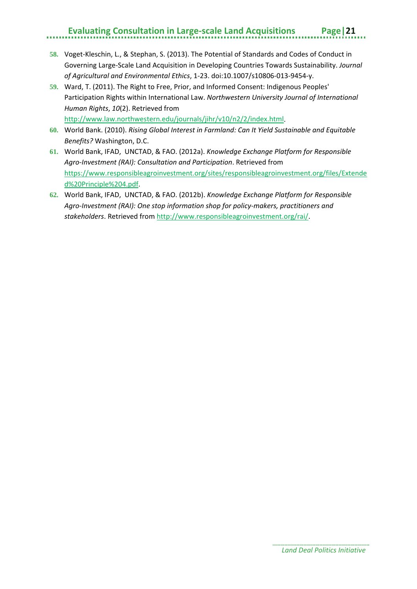- **58.** Voget-Kleschin, L., & Stephan, S. (2013). The Potential of Standards and Codes of Conduct in Governing Large-Scale Land Acquisition in Developing Countries Towards Sustainability. *Journal of Agricultural and Environmental Ethics*, 1-23. doi:10.1007/s10806-013-9454-y.
- **59.** Ward, T. (2011). The Right to Free, Prior, and Informed Consent: Indigenous Peoples' Participation Rights within International Law. *Northwestern University Journal of International Human Rights*, *10*(2). Retrieved from http://www.law.northwestern.edu/journals/jihr/v10/n2/2/index.html.
- **60.** World Bank. (2010). *Rising Global Interest in Farmland: Can It Yield Sustainable and Equitable Benefits?* Washington, D.C.
- **61.** World Bank, IFAD, UNCTAD, & FAO. (2012a). *Knowledge Exchange Platform for Responsible Agro-Investment (RAI): Consultation and Participation*. Retrieved from https://www.responsibleagroinvestment.org/sites/responsibleagroinvestment.org/files/Extende d%20Principle%204.pdf.
- **62.** World Bank, IFAD, UNCTAD, & FAO. (2012b). *Knowledge Exchange Platform for Responsible Agro-Investment (RAI): One stop information shop for policy-makers, practitioners and stakeholders*. Retrieved from http://www.responsibleagroinvestment.org/rai/.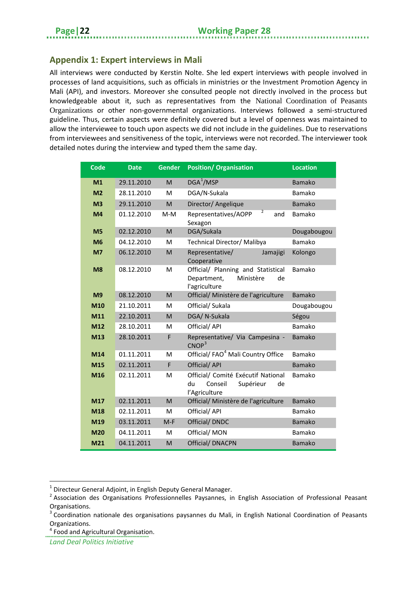#### <span id="page-25-0"></span>**Appendix 1: Expert interviews in Mali**

All interviews were conducted by Kerstin Nolte. She led expert interviews with people involved in processes of land acquisitions, such as officials in ministries or the Investment Promotion Agency in Mali (API), and investors. Moreover she consulted people not directly involved in the process but knowledgeable about it, such as representatives from the National Coordination of Peasants Organizations or other non-governmental organizations. Interviews followed a semi-structured guideline. Thus, certain aspects were definitely covered but a level of openness was maintained to allow the interviewee to touch upon aspects we did not include in the guidelines. Due to reservations from interviewees and sensitiveness of the topic, interviews were not recorded. The interviewer took detailed notes during the interview and typed them the same day.

| Code           | <b>Date</b> | <b>Gender</b> | <b>Position/ Organisation</b>                                                           | <b>Location</b> |
|----------------|-------------|---------------|-----------------------------------------------------------------------------------------|-----------------|
| M <sub>1</sub> | 29.11.2010  | M             | DGA <sup>1</sup> /MSP                                                                   | <b>Bamako</b>   |
| M <sub>2</sub> | 28.11.2010  | M             | DGA/N-Sukala                                                                            | Bamako          |
| M <sub>3</sub> | 29.11.2010  | M             | Director/ Angelique                                                                     | <b>Bamako</b>   |
| M <sub>4</sub> | 01.12.2010  | $M-M$         | $\overline{2}$<br>Representatives/AOPP<br>and<br>Sexagon                                | Bamako          |
| M <sub>5</sub> | 02.12.2010  | M             | DGA/Sukala                                                                              | Dougabougou     |
| M <sub>6</sub> | 04.12.2010  | M             | Technical Director/ Malibya                                                             | Bamako          |
| M <sub>7</sub> | 06.12.2010  | M             | Representative/<br>Jamajigi<br>Cooperative                                              | Kolongo         |
| M <sub>8</sub> | 08.12.2010  | M             | Official/ Planning and Statistical<br>Department,<br>Ministère<br>de<br>l'agriculture   | Bamako          |
| M <sub>9</sub> | 08.12.2010  | M             | Official/ Ministère de l'agriculture                                                    | <b>Bamako</b>   |
| M10            | 21.10.2011  | M             | Official/ Sukala                                                                        | Dougabougou     |
| M11            | 22.10.2011  | M             | DGA/ N-Sukala                                                                           | Ségou           |
| M12            | 28.10.2011  | M             | Official/ API                                                                           | Bamako          |
| M13            | 28.10.2011  | F             | Representative/ Via Campesina -<br>CNOP <sup>3</sup>                                    | <b>Bamako</b>   |
| M14            | 01.11.2011  | M             | Official/ FAO <sup>4</sup> Mali Country Office                                          | Bamako          |
| M15            | 02.11.2011  | F             | Official/ API                                                                           | Bamako          |
| M16            | 02.11.2011  | M             | Official/ Comité Exécutif National<br>du<br>Conseil<br>Supérieur<br>de<br>l'Agriculture | Bamako          |
| M17            | 02.11.2011  | M             | Official/ Ministère de l'agriculture                                                    | <b>Bamako</b>   |
| M18            | 02.11.2011  | M             | Official/ API                                                                           | Bamako          |
| M19            | 03.11.2011  | $M-F$         | Official/ DNDC<br><b>Bamako</b>                                                         |                 |
| <b>M20</b>     | 04.11.2011  | M             | Official/ MON                                                                           | Bamako          |
| M21            | 04.11.2011  | M             | <b>Official/ DNACPN</b>                                                                 | <b>Bamako</b>   |

<span id="page-25-4"></span>Organizations.<br><sup>4</sup> Food and Agricultural Organisation.

*Land Deal Politics Initiative*

**.** 

<span id="page-25-1"></span> $1$  Directeur General Adioint, in English Deputy General Manager.

<span id="page-25-2"></span><sup>&</sup>lt;sup>2</sup> Association des Organisations Professionnelles Paysannes, in English Association of Professional Peasant Organisations.

<span id="page-25-3"></span><sup>&</sup>lt;sup>3</sup> Coordination nationale des organisations paysannes du Mali, in English National Coordination of Peasants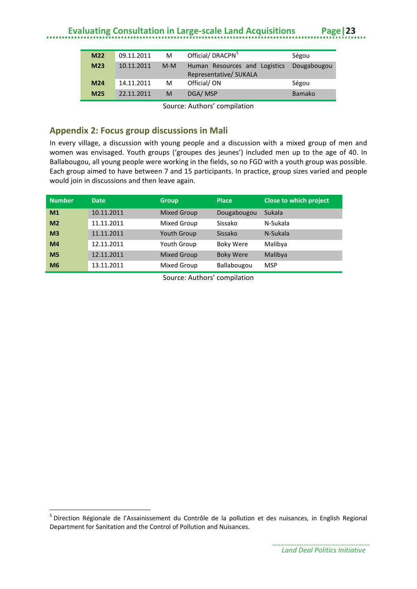| M <sub>22</sub> | 09.11.2011 | м     | Official/DRACPN <sup>5</sup>                            | Ségou         |
|-----------------|------------|-------|---------------------------------------------------------|---------------|
| M <sub>23</sub> | 10.11.2011 | $M-M$ | Human Resources and Logistics<br>Representative/ SUKALA | Dougabougou   |
| M <sub>24</sub> | 14.11.2011 | м     | Official/ON                                             | Ségou         |
| M <sub>25</sub> | 22.11.2011 | M     | DGA/MSP                                                 | <b>Bamako</b> |
|                 |            |       |                                                         |               |

Source: Authors' compilation

#### <span id="page-26-0"></span>**Appendix 2: Focus group discussions in Mali**

In every village, a discussion with young people and a discussion with a mixed group of men and women was envisaged. Youth groups ('groupes des jeunes') included men up to the age of 40. In Ballabougou, all young people were working in the fields, so no FGD with a youth group was possible. Each group aimed to have between 7 and 15 participants. In practice, group sizes varied and people would join in discussions and then leave again.

| <b>Number</b>  | <b>Date</b> | <b>Group</b>       | <b>Place</b>     | Close to which project |
|----------------|-------------|--------------------|------------------|------------------------|
| M <sub>1</sub> | 10.11.2011  | <b>Mixed Group</b> | Dougabougou      | Sukala                 |
| M <sub>2</sub> | 11.11.2011  | Mixed Group        | Sissako          | N-Sukala               |
| M <sub>3</sub> | 11.11.2011  | <b>Youth Group</b> | Sissako          | N-Sukala               |
| M <sub>4</sub> | 12.11.2011  | <b>Youth Group</b> | <b>Boky Were</b> | Malibya                |
| M <sub>5</sub> | 12.11.2011  | <b>Mixed Group</b> | <b>Boky Were</b> | Malibya                |
| M <sub>6</sub> | 13.11.2011  | Mixed Group        | Ballabougou      | <b>MSP</b>             |

Source: Authors' compilation

 $\overline{a}$ 

<span id="page-26-1"></span><sup>&</sup>lt;sup>5</sup> Direction Régionale de l'Assainissement du Contrôle de la pollution et des nuisances, in English Regional Department for Sanitation and the Control of Pollution and Nuisances.